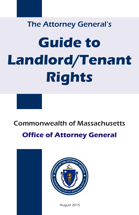# The Attorney General's **Guide to Landlord/Tenant Rights**

# Commonwealth of Massachusetts **Office of Attorney General**





August 2015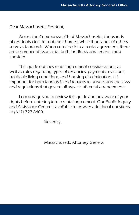Dear Massachusetts Resident,

Across the Commonwealth of Massachusetts, thousands of residents elect to rent their homes, while thousands of others serve as landlords. When entering into a rental agreement, there are a number of issues that both landlords and tenants must consider.

This guide outlines rental agreement considerations, as well as rules regarding types of tenancies, payments, evictions, habitable living conditions, and housing discrimination. It is important for both landlords and tenants to understand the laws and regulations that govern all aspects of rental arrangements.

I encourage you to review this guide and be aware of your rights before entering into a rental agreement. Our Public Inquiry and Assistance Center is available to answer additional questions at (617) 727-8400.

Sincerely,

Massachusetts Attorney General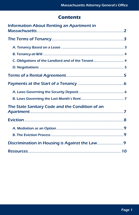# **Contents**

| <b>Information About Renting an Apartment in</b> |  |
|--------------------------------------------------|--|
|                                                  |  |
|                                                  |  |
|                                                  |  |
|                                                  |  |
|                                                  |  |
|                                                  |  |
|                                                  |  |
|                                                  |  |
|                                                  |  |
|                                                  |  |
| The State Sanitary Code and the Condition of an  |  |
|                                                  |  |
|                                                  |  |
|                                                  |  |
|                                                  |  |
|                                                  |  |
|                                                  |  |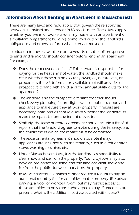#### <span id="page-3-0"></span>**Information About Renting an Apartment in Massachusetts**

There are many laws and regulations that govern the relationship between a landlord and a tenant in Massachusetts. These laws apply whether you live in or own a two-family home with an apartment or a multi-family apartment building. Some laws outline the landlord's obligations and others set forth what a tenant must do.

In addition to these laws, there are several issues that all prospective tenants and landlords should consider before renting an apartment. For example:

- $\triangleq$  Does the rent cover all utilities? If the tenant is responsible for paying for the heat and hot water, the landlord should make clear whether these run on electric power, oil, natural gas, or propane. Is there is information available that will provide a prospective tenant with an idea of the annual utility costs for the apartment?
- The landlord and the prospective tenant together should check every plumbing fixture, light switch, cupboard door, and appliance to make sure they all work properly. If repairs are necessary, both parties should discuss whether the landlord will make the repairs before the tenant moves in.
- Similarly, the lease or rental agreement should include a list of all repairs that the landlord agrees to make during the tenancy, and the timeframe in which the repairs must be completed.
- $\cdot$  The lease or rental agreement should also note if major appliances are included with the tenancy, such as a refrigerator, stove, washing machine, etc.
- Under Massachusetts Law, it is the landlord's responsibility to clear snow and ice from the property. Your city/town may also have an ordinance requiring that the landlord clear snow and ice from the public sidewalk that abuts the property.
- $\triangleq$  In Massachusetts, a landlord cannot require a tenant to pay an additional monthly fee for amenities on the property, like private parking, a pool, or workout room, but may restrict access to these amenities to only those who agree to pay. If amenities are present, what is the additional cost associated with access?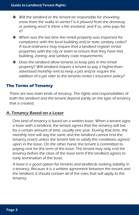- <span id="page-4-0"></span> $\bullet\quad$  Will the landlord or the tenant be responsible for shoveling snow from the walks in winter? Is it plowed from the driveway or parking area? Is there a fee involved, and if so, who pays for it?
- $\cdot \cdot \cdot$  When was the last time the rental property was inspected for compliance with the local building and/or state sanitary codes? A local ordinance may require that a landlord register rental properties with the city or town to ensure that they have met building, zoning, and sanitary code requirements.
- $\bullet$  Does the landlord allow tenants to keep pets in the rental property? Will landlord require a tenant to pay a higher-thanadvertised monthly rent to keep a pet and/or require the addition of a pet rider to the tenants renter's insurance policy?

# **The Terms of Tenancy**

There are two main kinds of tenancy. The rights and responsibilities of both the landlord and the tenant depend partly on the type of tenancy that is created.

# A. Tenancy Based on a Lease

One kind of tenancy is based on a written lease. When a tenant signs a lease with a landlord, the tenant agrees that the tenancy will last for a certain amount of time, usually one year. During that time, the monthly rent will stay the same and the landlord cannot end the tenancy (evict) unless the tenant fails to satisfy the conditions agreed upon in the lease. On the other hand, the tenant is committed to paying rent for the term of the lease. The tenant may only end the tenancy before the close of the lease term if the landlord agrees to early termination of the lease.

A lease is a good option for tenants and landlords seeking stability in a tenancy. Because it is a written agreement between the tenant and the landlord, it should contain all of the rules that will apply to the tenancy.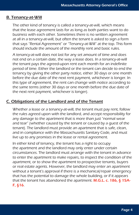#### <span id="page-5-0"></span>B. Tenancy-at-Will

The other kind of tenancy is called a tenancy-at-will, which means that the lease agreement lasts for as long as both parties want to do business with each other. Sometimes there is no written agreement at all in a tenancy-at-will, but often the tenant is asked to sign a form that says "Rental Agreement" or "Tenancy-at-Will" at the top. This form should include the amount of the monthly rent and basic rules.

A tenancy-at-will does not last for any set amount of time and does not end on a certain date, the way a lease does. In a tenancy-at-will the tenant pays the agreed-upon rent each month for an indefinite period of time. Either the landlord or the tenant can decide to end the tenancy by giving the other party notice, either 30 days or one month before the due date of the next rent payment, whichever is longer. In this type of agreement, the rent can change with notice according to the same terms (either 30 days or one month before the due date of the next rent payment, whichever is longer).

#### C. Obligations of the Landlord and of the Tenant

Whether a lease or a tenancy-at-will, the tenant must pay rent, follow the rules agreed upon with the landlord, and accept responsibility for any damage to the apartment that is more than just "normal wear and tear" (whether caused by the tenant or caused by a guest of the tenant). The landlord must provide an apartment that is safe, clean, and in compliance with the Massachusetts Sanitary Code, and must live up to any promises in the lease or rental agreement.

In either kind of tenancy, the tenant has a right to occupy the apartment and the landlord may only enter under certain circumstances. The landlord must arrange with the tenant in advance to enter the apartment to make repairs, to inspect the condition of the apartment, or to show the apartment to prospective tenants, buyers or real estate agents. However, the landlord may enter an apartment without a tenant's approval if there is a mechanical/repair emergency that has the potential to damage the whole building, or if it appears that the tenant has abandoned the apartment. M.G.L. c. 186,  $\S$  15A-F, §16.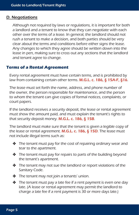# <span id="page-6-0"></span>D. Negotiations

Although not required by laws or regulations, it is important for both a landlord and a tenant to know that they can negotiate with each other over the terms of a lease. In general, the landlord should not rush a tenant to make a decision, and both parties should be very clear about the terms and conditions before either signs the lease. Any changes to which they agree should be written down into the lease in pen, making sure to cross out any sections that the landlord and tenant agree to change.

# **Terms of a Rental Agreement**

Every rental agreement must have certain terms, and is prohibited by law from containing certain other terms. M.G.L. c. 186, § 15A-F, §16.

The lease must set forth the name, address, and phone number of the owner, the person responsible for maintenance, and the person to whom the tenant can give copies of formal notices, complaints, or court papers.

If the landlord receives a security deposit, the lease or rental agreement must show the amount paid, and must explain the tenant's rights to that security deposit money. M.G.L. c. 186, § 15B.

The landlord must make sure that the tenant is given a legible copy of the lease or rental agreement. M.G.L. c. 186, § 15D. The lease must not include illegal terms such as:

- $\triangleq$  The tenant must pay for the cost of repairing ordinary wear and tear to the apartment.
- $\bullet$  The tenant must pay for repairs to parts of the building beyond the tenant's apartment.
- $\bullet$  The tenant may not sue the landlord or report violations of the Sanitary Code.
- $\bullet$  The tenant may not join a tenants' union.
- $\triangleq$  The tenant must pay a late fee if a rent payment is even one day late. (A lease or rental agreement may permit the landlord to charge a late fee if a rent payment is 30 or more days late.)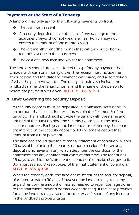#### <span id="page-7-0"></span>**Payments at the Start of a Tenancy**

A landlord may only ask for the following payments up front:

- The first month's rent
- $\triangle$  A security deposit to cover the cost of any damage to the apartment beyond normal wear and tear (which may not exceed the amount of one month's rent)
- $\triangleq$  The last month's rent (the month that will turn out to be the tenant's last one in the apartment)
- $\clubsuit$  The cost of a new lock and key for the apartment

The landlord should provide a signed receipt for any payment that is made with cash or a money order. The receipt must include the amount paid and the date the payment was made, and a description of what the payment was for. The receipt should also include the landlord's name, the tenant's name, and the name of the person to whom the payment was given. M.G.L. c. 186, § 15B.

# A. Laws Governing the Security Deposit

All security deposits must be deposited in a Massachusetts bank, in an account that collects interest, and within the first month of the tenancy. The landlord must provide the tenant with the name and address of the bank holding the security deposit, plus the actual account number. Each year, the landlord must either pay the tenant the interest on the security deposit or let the tenant deduct that amount from a rent payment.

The landlord should give the tenant a "statement of condition" within 10 days of beginning the tenancy or upon receipt of the security deposit (whichever is later), which describes the condition of the apartment and any damage that exists at that time. The tenant has 15 days to add to the "statement of condition" or make changes to it. Both parties should keep copies of the final "statement of condition." M.G.L. c. 186, § 15B.

When the tenancy ends, the landlord must return the security deposit, plus interest, within 30 days. However, the landlord may keep any unpaid rent or the amount of money needed to repair damage done to the apartment (beyond normal wear and tear). If the lease provides for it, the landlord may also deduct the tenant's share of any increase in the landlord's property taxes.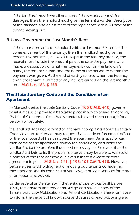<span id="page-8-0"></span>If the landlord must keep all or a part of the security deposit for damages, then the landlord must give the tenant a written description of the damage and an estimate of the repair cost within 30 days of the tenant moving out.

#### B. Laws Governing the Last Month's Rent

If the tenant provides the landlord with the last month's rent at the commencement of the tenancy, then the landlord must give the tenant a signed receipt. Like all receipts in the tenancy process, the receipt must include the amount paid, the date the payment was made, a description of what the payment was for, the landlord's name, the tenant's name, and the name of the person to whom the payment was given. At the end of each year and when the tenancy ends, the tenant is entitled to any interest earned on the last month's rent. M.G.L. c. 186, § 15B.

# **The State Sanitary Code and the Condition of an Apartment**

In Massachusetts, the State Sanitary Code (105 C.M.R. 410) governs what it means to provide a habitable place in which to live. In general, "habitable" means a place that is comfortable and clean enough for a person to live safely.

If a landlord does not respond to a tenant's complaints about a Sanitary Code violation, the tenant may request that a code enforcement officer or the local board of health inspect the apartment. An inspector can then come to the apartment, review the conditions, and order the landlord to fix the problem if deemed necessary. In the event that the landlord still fails to fix the problem, a tenant may be able to withhold a portion of the rent or move out, even if there is a lease or rental agreement in place. M.G.L. c. 111, § 198; 105 C.M.R. 410. However, before either withholding rent or moving out, tenants considering these options should contact a private lawyer or legal services for more information and advice.

Under federal and state law, If the rental property was built before 1978, the landlord and tenant must sign and retain a copy of the Tenant Lead Law Notification and Tenant Certification. These forms are to inform the Tenant of known risks and causes of lead poisoning and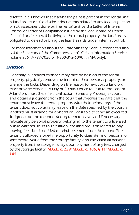<span id="page-9-0"></span>disclose if it is known that lead-based paint is present in the rental unit. A landlord must also disclose documents related to any lead inspection or risk assessment done on the rental unit, and a Letter of Interim Control or Letter of Compliance issued by the local board of Health. If a child under six will be living in the rental property, the landlord is obligated to delead or bring the lead hazards under interim control.

For more information about the State Sanitary Code, a tenant can also call the Secretary of the Commonwealth's Citizen Information Service hotline at 617-727-7030 or 1-800-392-6090 (in MA only).

# **Eviction**

Generally, a landlord cannot simply take possession of the rental property, physically remove the tenant or their personal property, or change the locks. Depending on the reason for eviction, a landlord must provide either a 14-Day or 30-day Notice to Quit to the Tenant. A landlord must then file a civil action (Summary Process) in court, and obtain a judgment from the court that specifies the date that the tenant must leave the rental property with their belongings. If the tenant does not voluntarily leave on the date specified by the court, a landlord must arrange for a Sheriff or Constable to serve an executed Judgment on the tenant ordering them to leave, and if necessary, relocate any personal property belonging to the tenant to a licensed public warehouse. In this situation, the landlord is obligated to pay moving fees, but is entitled to reimbursement from the tenant. The tenant is allowed a one-time opportunity to claim items of personal or sentimental value from the storage facility, and can claim all personal property from the storage facility upon payment of any fees charged by the storage facility. M.G.L. c. 239; M.G.L. c. 186, § 11; M.G.L. c. 105.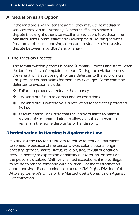# <span id="page-10-0"></span>A. Mediation as an Option

If the landlord and the tenant agree, they may utilize mediation services through the Attorney General's Office to resolve a dispute that might otherwise result in an eviction. In addition, the Massachusetts Communities and Development Housing Services Program or the local housing court can provide help in resolving a dispute between a landlord and a tenant.

#### B. The Eviction Process

The formal eviction process is called Summary Process and starts when the landlord files a Complaint in court. During the eviction process the tenant will have the right to raise defenses to the eviction itself and present counterclaims for monetary damages. Some common defenses to eviction include:

- \* Failure to properly terminate the tenancy.
- The landlord failed to correct known conditions.
- The landlord is evicting you in retaliation for activities protected by law.
- $\bullet$  Discrimination, including that the landlord failed to make a reasonable accommodation to allow a disabled person to remain in the home despite his or her disability.

#### **Discrimination in Housing is Against the Law**

It is against the law for a landlord to refuse to rent an apartment to someone because of the person's race, color, national origin, ancestry, gender, marital status, religion, age, sexual orientation, gender identity or expression or military background, or because the person is disabled. With very limited exceptions, it is also illegal to refuse to rent to someone with children. For more information about housing discrimination, contact the Civil Rights Division of the Attorney General's Office or the Massachusetts Commission Against Discrimination.